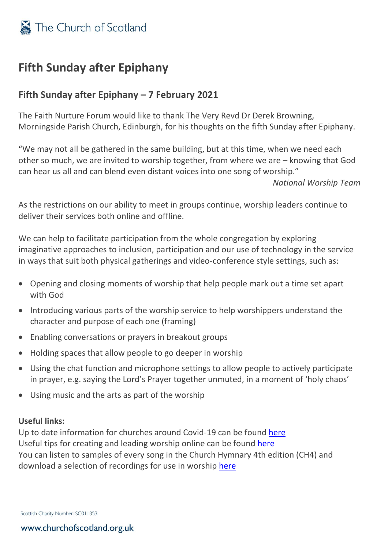

# **Fifth Sunday after Epiphany**

## **Fifth Sunday after Epiphany – 7 February 2021**

The Faith Nurture Forum would like to thank The Very Revd Dr Derek Browning, Morningside Parish Church, Edinburgh, for his thoughts on the fifth Sunday after Epiphany.

"We may not all be gathered in the same building, but at this time, when we need each other so much, we are invited to worship together, from where we are – knowing that God can hear us all and can blend even distant voices into one song of worship."

*National Worship Team*

As the restrictions on our ability to meet in groups continue, worship leaders continue to deliver their services both online and offline.

We can help to facilitate participation from the whole congregation by exploring imaginative approaches to inclusion, participation and our use of technology in the service in ways that suit both physical gatherings and video-conference style settings, such as:

- Opening and closing moments of worship that help people mark out a time set apart with God
- Introducing various parts of the worship service to help worshippers understand the character and purpose of each one (framing)
- Enabling conversations or prayers in breakout groups
- Holding spaces that allow people to go deeper in worship
- Using the chat function and microphone settings to allow people to actively participate in prayer, e.g. saying the Lord's Prayer together unmuted, in a moment of 'holy chaos'
- Using music and the arts as part of the worship

### **Useful links:**

Up to date information for churches around Covid-19 can be found [here](https://www.churchofscotland.org.uk/resources/covid-19-coronavirus-advice) Useful tips for creating and leading worship online can be found [here](https://www.resourcingmission.org.uk/worship/online-worship) You can listen to samples of every song in the Church Hymnary 4th edition (CH4) and download a selection of recordings for use in worship [here](https://music.churchofscotland.org.uk/)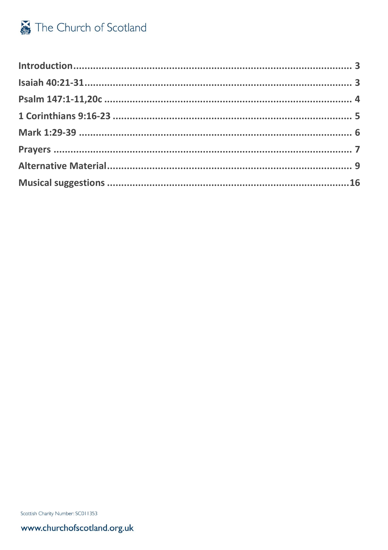Scottish Charity Number: SC011353

www.churchofscotland.org.uk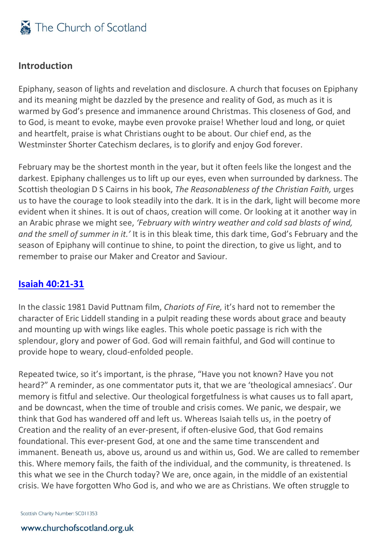### <span id="page-2-0"></span>**Introduction**

Epiphany, season of lights and revelation and disclosure. A church that focuses on Epiphany and its meaning might be dazzled by the presence and reality of God, as much as it is warmed by God's presence and immanence around Christmas. This closeness of God, and to God, is meant to evoke, maybe even provoke praise! Whether loud and long, or quiet and heartfelt, praise is what Christians ought to be about. Our chief end, as the Westminster Shorter Catechism declares, is to glorify and enjoy God forever.

February may be the shortest month in the year, but it often feels like the longest and the darkest. Epiphany challenges us to lift up our eyes, even when surrounded by darkness. The Scottish theologian D S Cairns in his book, *The Reasonableness of the Christian Faith,* urges us to have the courage to look steadily into the dark. It is in the dark, light will become more evident when it shines. It is out of chaos, creation will come. Or looking at it another way in an Arabic phrase we might see, *'February with wintry weather and cold sad blasts of wind, and the smell of summer in it.'* It is in this bleak time, this dark time, God's February and the season of Epiphany will continue to shine, to point the direction, to give us light, and to remember to praise our Maker and Creator and Saviour.

### <span id="page-2-1"></span>**[Isaiah 40:21-31](http://bible.oremus.org/?ql=474616651)**

In the classic 1981 David Puttnam film, *Chariots of Fire,* it's hard not to remember the character of Eric Liddell standing in a pulpit reading these words about grace and beauty and mounting up with wings like eagles. This whole poetic passage is rich with the splendour, glory and power of God. God will remain faithful, and God will continue to provide hope to weary, cloud-enfolded people.

Repeated twice, so it's important, is the phrase, "Have you not known? Have you not heard?" A reminder, as one commentator puts it, that we are 'theological amnesiacs'. Our memory is fitful and selective. Our theological forgetfulness is what causes us to fall apart, and be downcast, when the time of trouble and crisis comes. We panic, we despair, we think that God has wandered off and left us. Whereas Isaiah tells us, in the poetry of Creation and the reality of an ever-present, if often-elusive God, that God remains foundational. This ever-present God, at one and the same time transcendent and immanent. Beneath us, above us, around us and within us, God. We are called to remember this. Where memory fails, the faith of the individual, and the community, is threatened. Is this what we see in the Church today? We are, once again, in the middle of an existential crisis. We have forgotten Who God is, and who we are as Christians. We often struggle to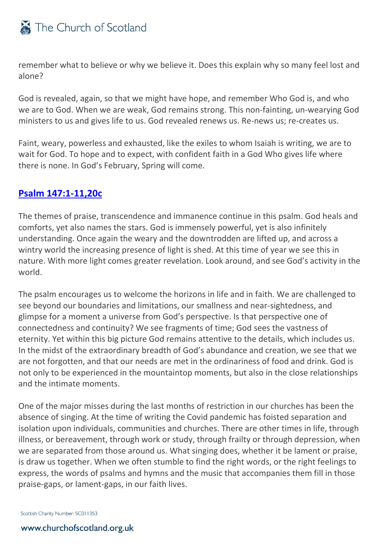remember what to believe or why we believe it. Does this explain why so many feel lost and alone?

God is revealed, again, so that we might have hope, and remember Who God is, and who we are to God. When we are weak, God remains strong. This non-fainting, un-wearying God ministers to us and gives life to us. God revealed renews us. Re-news us; re-creates us.

Faint, weary, powerless and exhausted, like the exiles to whom Isaiah is writing, we are to wait for God. To hope and to expect, with confident faith in a God Who gives life where there is none. In God's February, Spring will come.

### <span id="page-3-0"></span>**[Psalm 147:1-11,20c](http://bible.oremus.org/?ql=474616668)**

The themes of praise, transcendence and immanence continue in this psalm. God heals and comforts, yet also names the stars. God is immensely powerful, yet is also infinitely understanding. Once again the weary and the downtrodden are lifted up, and across a wintry world the increasing presence of light is shed. At this time of year we see this in nature. With more light comes greater revelation. Look around, and see God's activity in the world.

The psalm encourages us to welcome the horizons in life and in faith. We are challenged to see beyond our boundaries and limitations, our smallness and near-sightedness, and glimpse for a moment a universe from God's perspective. Is that perspective one of connectedness and continuity? We see fragments of time; God sees the vastness of eternity. Yet within this big picture God remains attentive to the details, which includes us. In the midst of the extraordinary breadth of God's abundance and creation, we see that we are not forgotten, and that our needs are met in the ordinariness of food and drink. God is not only to be experienced in the mountaintop moments, but also in the close relationships and the intimate moments.

One of the major misses during the last months of restriction in our churches has been the absence of singing. At the time of writing the Covid pandemic has foisted separation and isolation upon individuals, communities and churches. There are other times in life, through illness, or bereavement, through work or study, through frailty or through depression, when we are separated from those around us. What singing does, whether it be lament or praise, is draw us together. When we often stumble to find the right words, or the right feelings to express, the words of psalms and hymns and the music that accompanies them fill in those praise-gaps, or lament-gaps, in our faith lives.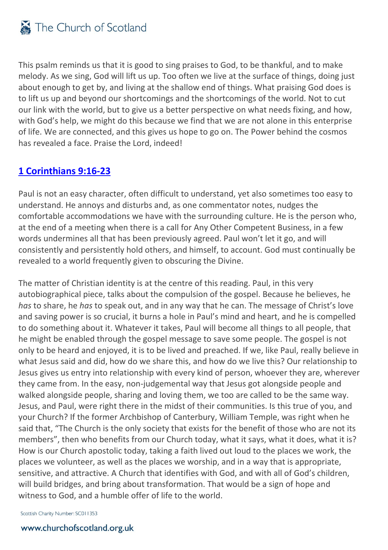This psalm reminds us that it is good to sing praises to God, to be thankful, and to make melody. As we sing, God will lift us up. Too often we live at the surface of things, doing just about enough to get by, and living at the shallow end of things. What praising God does is to lift us up and beyond our shortcomings and the shortcomings of the world. Not to cut our link with the world, but to give us a better perspective on what needs fixing, and how, with God's help, we might do this because we find that we are not alone in this enterprise of life. We are connected, and this gives us hope to go on. The Power behind the cosmos has revealed a face. Praise the Lord, indeed!

# <span id="page-4-0"></span>**[1 Corinthians 9:16-23](http://bible.oremus.org/?ql=474616734)**

Paul is not an easy character, often difficult to understand, yet also sometimes too easy to understand. He annoys and disturbs and, as one commentator notes, nudges the comfortable accommodations we have with the surrounding culture. He is the person who, at the end of a meeting when there is a call for Any Other Competent Business, in a few words undermines all that has been previously agreed. Paul won't let it go, and will consistently and persistently hold others, and himself, to account. God must continually be revealed to a world frequently given to obscuring the Divine.

The matter of Christian identity is at the centre of this reading. Paul, in this very autobiographical piece, talks about the compulsion of the gospel. Because he believes, he *has* to share, he *has* to speak out, and in any way that he can. The message of Christ's love and saving power is so crucial, it burns a hole in Paul's mind and heart, and he is compelled to do something about it. Whatever it takes, Paul will become all things to all people, that he might be enabled through the gospel message to save some people. The gospel is not only to be heard and enjoyed, it is to be lived and preached. If we, like Paul, really believe in what Jesus said and did, how do we share this, and how do we live this? Our relationship to Jesus gives us entry into relationship with every kind of person, whoever they are, wherever they came from. In the easy, non-judgemental way that Jesus got alongside people and walked alongside people, sharing and loving them, we too are called to be the same way. Jesus, and Paul, were right there in the midst of their communities. Is this true of you, and your Church? If the former Archbishop of Canterbury, William Temple, was right when he said that, "The Church is the only society that exists for the benefit of those who are not its members", then who benefits from our Church today, what it says, what it does, what it is? How is our Church apostolic today, taking a faith lived out loud to the places we work, the places we volunteer, as well as the places we worship, and in a way that is appropriate, sensitive, and attractive. A Church that identifies with God, and with all of God's children, will build bridges, and bring about transformation. That would be a sign of hope and witness to God, and a humble offer of life to the world.

Scottish Charity Number: SC011353

### www.churchofscotland.org.uk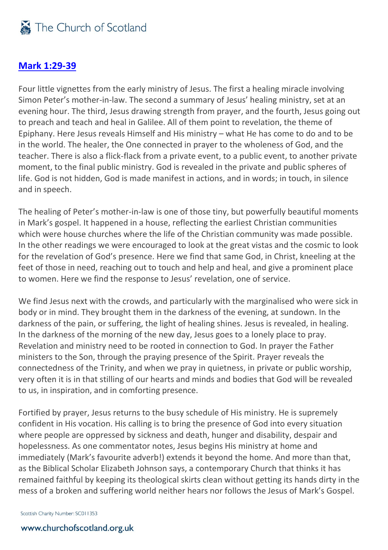### <span id="page-5-0"></span>**[Mark 1:29-39](http://bible.oremus.org/?ql=474616116)**

Four little vignettes from the early ministry of Jesus. The first a healing miracle involving Simon Peter's mother-in-law. The second a summary of Jesus' healing ministry, set at an evening hour. The third, Jesus drawing strength from prayer, and the fourth, Jesus going out to preach and teach and heal in Galilee. All of them point to revelation, the theme of Epiphany. Here Jesus reveals Himself and His ministry – what He has come to do and to be in the world. The healer, the One connected in prayer to the wholeness of God, and the teacher. There is also a flick-flack from a private event, to a public event, to another private moment, to the final public ministry. God is revealed in the private and public spheres of life. God is not hidden, God is made manifest in actions, and in words; in touch, in silence and in speech.

The healing of Peter's mother-in-law is one of those tiny, but powerfully beautiful moments in Mark's gospel. It happened in a house, reflecting the earliest Christian communities which were house churches where the life of the Christian community was made possible. In the other readings we were encouraged to look at the great vistas and the cosmic to look for the revelation of God's presence. Here we find that same God, in Christ, kneeling at the feet of those in need, reaching out to touch and help and heal, and give a prominent place to women. Here we find the response to Jesus' revelation, one of service.

We find Jesus next with the crowds, and particularly with the marginalised who were sick in body or in mind. They brought them in the darkness of the evening, at sundown. In the darkness of the pain, or suffering, the light of healing shines. Jesus is revealed, in healing. In the darkness of the morning of the new day, Jesus goes to a lonely place to pray. Revelation and ministry need to be rooted in connection to God. In prayer the Father ministers to the Son, through the praying presence of the Spirit. Prayer reveals the connectedness of the Trinity, and when we pray in quietness, in private or public worship, very often it is in that stilling of our hearts and minds and bodies that God will be revealed to us, in inspiration, and in comforting presence.

Fortified by prayer, Jesus returns to the busy schedule of His ministry. He is supremely confident in His vocation. His calling is to bring the presence of God into every situation where people are oppressed by sickness and death, hunger and disability, despair and hopelessness. As one commentator notes, Jesus begins His ministry at home and immediately (Mark's favourite adverb!) extends it beyond the home. And more than that, as the Biblical Scholar Elizabeth Johnson says, a contemporary Church that thinks it has remained faithful by keeping its theological skirts clean without getting its hands dirty in the mess of a broken and suffering world neither hears nor follows the Jesus of Mark's Gospel.

Scottish Charity Number: SC011353

### www.churchofscotland.org.uk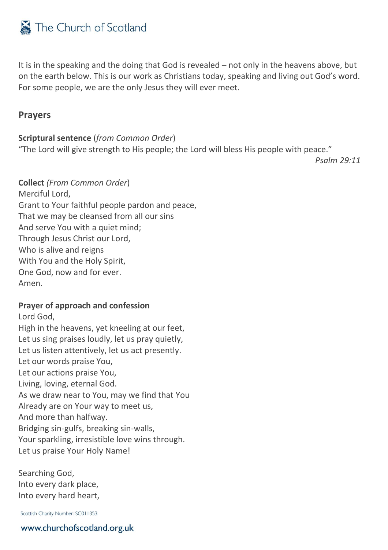It is in the speaking and the doing that God is revealed – not only in the heavens above, but on the earth below. This is our work as Christians today, speaking and living out God's word. For some people, we are the only Jesus they will ever meet.

### <span id="page-6-0"></span>**Prayers**

### **Scriptural sentence** (*from Common Order*)

"The Lord will give strength to His people; the Lord will bless His people with peace."

*Psalm 29:11*

**Collect** *(From Common Order*) Merciful Lord, Grant to Your faithful people pardon and peace, That we may be cleansed from all our sins And serve You with a quiet mind; Through Jesus Christ our Lord, Who is alive and reigns With You and the Holy Spirit, One God, now and for ever. Amen.

### **Prayer of approach and confession**

Lord God, High in the heavens, yet kneeling at our feet, Let us sing praises loudly, let us pray quietly, Let us listen attentively, let us act presently. Let our words praise You, Let our actions praise You, Living, loving, eternal God. As we draw near to You, may we find that You Already are on Your way to meet us, And more than halfway. Bridging sin-gulfs, breaking sin-walls, Your sparkling, irresistible love wins through. Let us praise Your Holy Name!

Searching God, Into every dark place, Into every hard heart,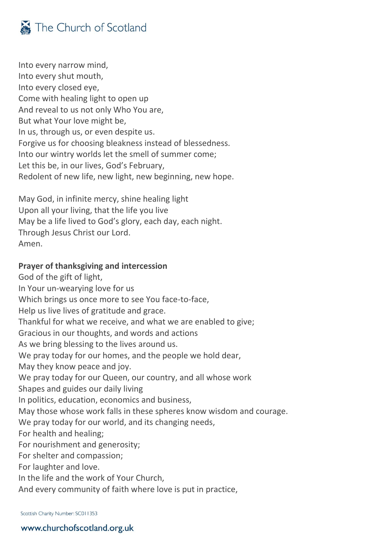

Into every narrow mind, Into every shut mouth, Into every closed eye, Come with healing light to open up And reveal to us not only Who You are, But what Your love might be, In us, through us, or even despite us. Forgive us for choosing bleakness instead of blessedness. Into our wintry worlds let the smell of summer come; Let this be, in our lives, God's February, Redolent of new life, new light, new beginning, new hope.

May God, in infinite mercy, shine healing light Upon all your living, that the life you live May be a life lived to God's glory, each day, each night. Through Jesus Christ our Lord. Amen.

#### **Prayer of thanksgiving and intercession**

God of the gift of light, In Your un-wearying love for us Which brings us once more to see You face-to-face, Help us live lives of gratitude and grace. Thankful for what we receive, and what we are enabled to give; Gracious in our thoughts, and words and actions As we bring blessing to the lives around us. We pray today for our homes, and the people we hold dear, May they know peace and joy. We pray today for our Queen, our country, and all whose work Shapes and guides our daily living In politics, education, economics and business, May those whose work falls in these spheres know wisdom and courage. We pray today for our world, and its changing needs, For health and healing; For nourishment and generosity; For shelter and compassion; For laughter and love. In the life and the work of Your Church, And every community of faith where love is put in practice,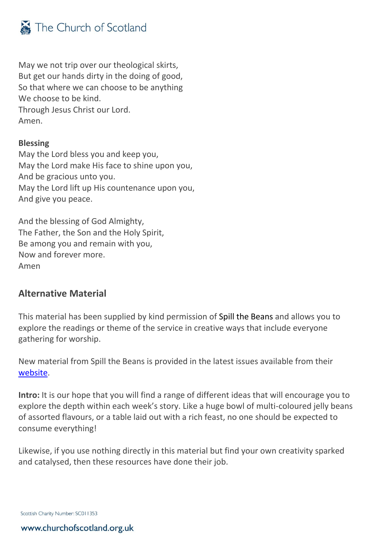

May we not trip over our theological skirts, But get our hands dirty in the doing of good, So that where we can choose to be anything We choose to be kind. Through Jesus Christ our Lord. Amen.

### **Blessing**

May the Lord bless you and keep you, May the Lord make His face to shine upon you, And be gracious unto you. May the Lord lift up His countenance upon you, And give you peace.

And the blessing of God Almighty, The Father, the Son and the Holy Spirit, Be among you and remain with you, Now and forever more. Amen

### <span id="page-8-0"></span>**Alternative Material**

This material has been supplied by kind permission of Spill the Beans and allows you to explore the readings or theme of the service in creative ways that include everyone gathering for worship.

New material from Spill the Beans is provided in the latest issues available from their [website.](http://spillbeans.org.uk/)

**Intro:** It is our hope that you will find a range of different ideas that will encourage you to explore the depth within each week's story. Like a huge bowl of multi-coloured jelly beans of assorted flavours, or a table laid out with a rich feast, no one should be expected to consume everything!

Likewise, if you use nothing directly in this material but find your own creativity sparked and catalysed, then these resources have done their job.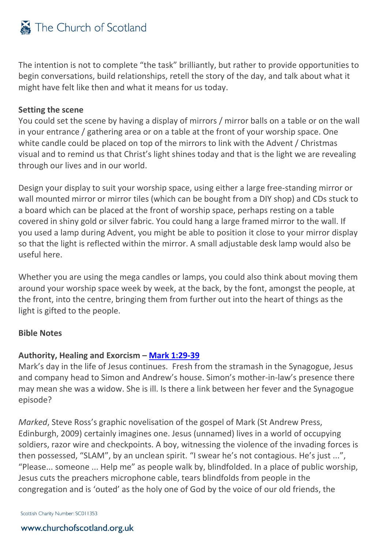The intention is not to complete "the task" brilliantly, but rather to provide opportunities to begin conversations, build relationships, retell the story of the day, and talk about what it might have felt like then and what it means for us today.

### **Setting the scene**

You could set the scene by having a display of mirrors / mirror balls on a table or on the wall in your entrance / gathering area or on a table at the front of your worship space. One white candle could be placed on top of the mirrors to link with the Advent / Christmas visual and to remind us that Christ's light shines today and that is the light we are revealing through our lives and in our world.

Design your display to suit your worship space, using either a large free-standing mirror or wall mounted mirror or mirror tiles (which can be bought from a DIY shop) and CDs stuck to a board which can be placed at the front of worship space, perhaps resting on a table covered in shiny gold or silver fabric. You could hang a large framed mirror to the wall. If you used a lamp during Advent, you might be able to position it close to your mirror display so that the light is reflected within the mirror. A small adjustable desk lamp would also be useful here.

Whether you are using the mega candles or lamps, you could also think about moving them around your worship space week by week, at the back, by the font, amongst the people, at the front, into the centre, bringing them from further out into the heart of things as the light is gifted to the people.

### **Bible Notes**

### **Authority, Healing and Exorcism – [Mark 1:29-39](http://bible.oremus.org/?ql=474616116)**

Mark's day in the life of Jesus continues. Fresh from the stramash in the Synagogue, Jesus and company head to Simon and Andrew's house. Simon's mother-in-law's presence there may mean she was a widow. She is ill. Is there a link between her fever and the Synagogue episode?

*Marked*, Steve Ross's graphic novelisation of the gospel of Mark (St Andrew Press, Edinburgh, 2009) certainly imagines one. Jesus (unnamed) lives in a world of occupying soldiers, razor wire and checkpoints. A boy, witnessing the violence of the invading forces is then possessed, "SLAM", by an unclean spirit. "I swear he's not contagious. He's just ...", "Please... someone ... Help me" as people walk by, blindfolded. In a place of public worship, Jesus cuts the preachers microphone cable, tears blindfolds from people in the congregation and is 'outed' as the holy one of God by the voice of our old friends, the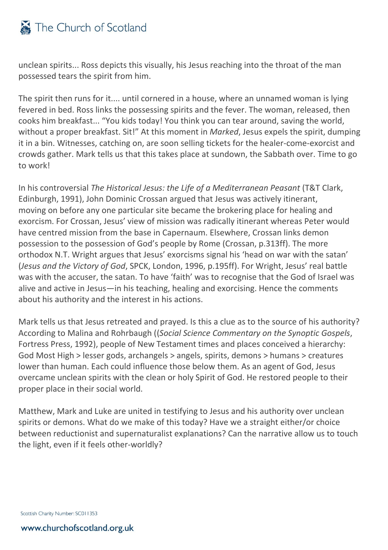unclean spirits... Ross depicts this visually, his Jesus reaching into the throat of the man possessed tears the spirit from him.

The spirit then runs for it.... until cornered in a house, where an unnamed woman is lying fevered in bed. Ross links the possessing spirits and the fever. The woman, released, then cooks him breakfast... "You kids today! You think you can tear around, saving the world, without a proper breakfast. Sit!" At this moment in *Marked*, Jesus expels the spirit, dumping it in a bin. Witnesses, catching on, are soon selling tickets for the healer-come-exorcist and crowds gather. Mark tells us that this takes place at sundown, the Sabbath over. Time to go to work!

In his controversial *The Historical Jesus: the Life of a Mediterranean Peasant* (T&T Clark, Edinburgh, 1991), John Dominic Crossan argued that Jesus was actively itinerant, moving on before any one particular site became the brokering place for healing and exorcism. For Crossan, Jesus' view of mission was radically itinerant whereas Peter would have centred mission from the base in Capernaum. Elsewhere, Crossan links demon possession to the possession of God's people by Rome (Crossan, p.313ff). The more orthodox N.T. Wright argues that Jesus' exorcisms signal his 'head on war with the satan' (*Jesus and the Victory of God*, SPCK, London, 1996, p.195ff). For Wright, Jesus' real battle was with the accuser, the satan. To have 'faith' was to recognise that the God of Israel was alive and active in Jesus—in his teaching, healing and exorcising. Hence the comments about his authority and the interest in his actions.

Mark tells us that Jesus retreated and prayed. Is this a clue as to the source of his authority? According to Malina and Rohrbaugh ((*Social Science Commentary on the Synoptic Gospels*, Fortress Press, 1992), people of New Testament times and places conceived a hierarchy: God Most High > lesser gods, archangels > angels, spirits, demons > humans > creatures lower than human. Each could influence those below them. As an agent of God, Jesus overcame unclean spirits with the clean or holy Spirit of God. He restored people to their proper place in their social world.

Matthew, Mark and Luke are united in testifying to Jesus and his authority over unclean spirits or demons. What do we make of this today? Have we a straight either/or choice between reductionist and supernaturalist explanations? Can the narrative allow us to touch the light, even if it feels other-worldly?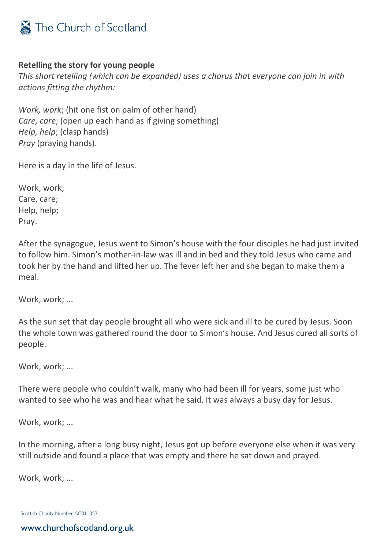

### **Retelling the story for young people**

*This short retelling (which can be expanded) uses a chorus that everyone can join in with actions fitting the rhythm:*

*Work, work*; (hit one fist on palm of other hand) *Care, care*; (open up each hand as if giving something) *Help, help*; (clasp hands) *Pray* (praying hands).

Here is a day in the life of Jesus.

Work, work; Care, care; Help, help; Pray.

After the synagogue, Jesus went to Simon's house with the four disciples he had just invited to follow him. Simon's mother-in-law was ill and in bed and they told Jesus who came and took her by the hand and lifted her up. The fever left her and she began to make them a meal.

Work, work; ...

As the sun set that day people brought all who were sick and ill to be cured by Jesus. Soon the whole town was gathered round the door to Simon's house. And Jesus cured all sorts of people.

Work, work; ...

There were people who couldn't walk, many who had been ill for years, some just who wanted to see who he was and hear what he said. It was always a busy day for Jesus.

Work, work; ...

In the morning, after a long busy night, Jesus got up before everyone else when it was very still outside and found a place that was empty and there he sat down and prayed.

Work, work; ...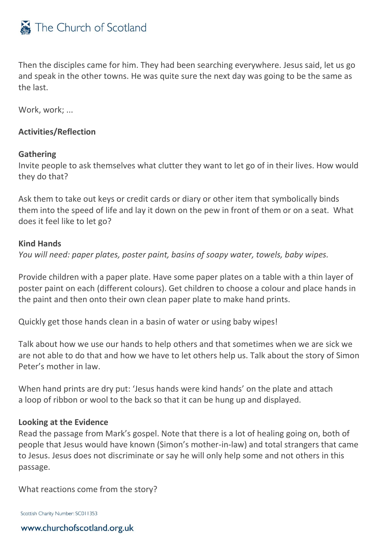

Then the disciples came for him. They had been searching everywhere. Jesus said, let us go and speak in the other towns. He was quite sure the next day was going to be the same as the last.

Work, work; ...

### **Activities/Reflection**

#### **Gathering**

Invite people to ask themselves what clutter they want to let go of in their lives. How would they do that?

Ask them to take out keys or credit cards or diary or other item that symbolically binds them into the speed of life and lay it down on the pew in front of them or on a seat. What does it feel like to let go?

#### **Kind Hands**

*You will need: paper plates, poster paint, basins of soapy water, towels, baby wipes.*

Provide children with a paper plate. Have some paper plates on a table with a thin layer of poster paint on each (different colours). Get children to choose a colour and place hands in the paint and then onto their own clean paper plate to make hand prints.

Quickly get those hands clean in a basin of water or using baby wipes!

Talk about how we use our hands to help others and that sometimes when we are sick we are not able to do that and how we have to let others help us. Talk about the story of Simon Peter's mother in law.

When hand prints are dry put: 'Jesus hands were kind hands' on the plate and attach a loop of ribbon or wool to the back so that it can be hung up and displayed.

#### **Looking at the Evidence**

Read the passage from Mark's gospel. Note that there is a lot of healing going on, both of people that Jesus would have known (Simon's mother-in-law) and total strangers that came to Jesus. Jesus does not discriminate or say he will only help some and not others in this passage.

What reactions come from the story?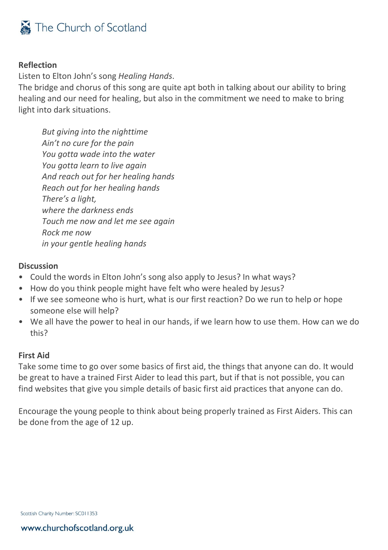

### **Reflection**

Listen to Elton John's song *Healing Hands*.

The bridge and chorus of this song are quite apt both in talking about our ability to bring healing and our need for healing, but also in the commitment we need to make to bring light into dark situations.

*But giving into the nighttime Ain't no cure for the pain You gotta wade into the water You gotta learn to live again And reach out for her healing hands Reach out for her healing hands There's a light, where the darkness ends Touch me now and let me see again Rock me now in your gentle healing hands*

#### **Discussion**

- Could the words in Elton John's song also apply to Jesus? In what ways?
- How do you think people might have felt who were healed by Jesus?
- If we see someone who is hurt, what is our first reaction? Do we run to help or hope someone else will help?
- We all have the power to heal in our hands, if we learn how to use them. How can we do this?

#### **First Aid**

Take some time to go over some basics of first aid, the things that anyone can do. It would be great to have a trained First Aider to lead this part, but if that is not possible, you can find websites that give you simple details of basic first aid practices that anyone can do.

Encourage the young people to think about being properly trained as First Aiders. This can be done from the age of 12 up.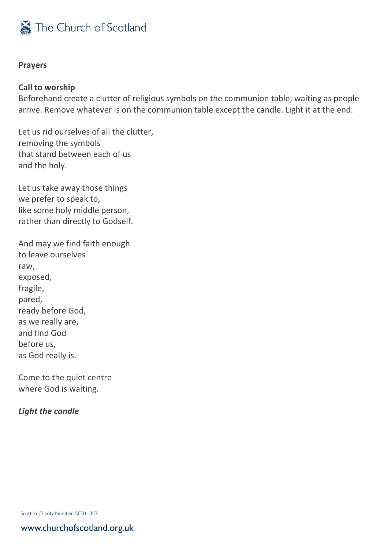

#### **Prayers**

#### **Call to worship**

Beforehand create a clutter of religious symbols on the communion table, waiting as people arrive. Remove whatever is on the communion table except the candle. Light it at the end.

Let us rid ourselves of all the clutter, removing the symbols that stand between each of us and the holy.

Let us take away those things we prefer to speak to, like some holy middle person, rather than directly to Godself.

And may we find faith enough to leave ourselves raw, exposed, fragile, pared, ready before God, as we really are, and find God before us, as God really is.

Come to the quiet centre where God is waiting.

### *Light the candle*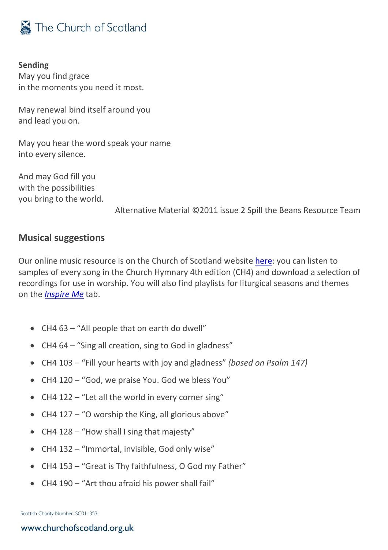

**Sending** May you find grace in the moments you need it most.

May renewal bind itself around you and lead you on.

May you hear the word speak your name into every silence.

And may God fill you with the possibilities you bring to the world.

Alternative Material ©2011 issue 2 Spill the Beans Resource Team

### <span id="page-15-0"></span>**Musical suggestions**

Our online music resource is on the Church of Scotland website [here:](https://music.churchofscotland.org.uk/) you can listen to samples of every song in the Church Hymnary 4th edition (CH4) and download a selection of recordings for use in worship. You will also find playlists for liturgical seasons and themes on the *[Inspire Me](https://music.churchofscotland.org.uk/inspire-me)* tab.

- CH4 63 "All people that on earth do dwell"
- CH4 64 "Sing all creation, sing to God in gladness"
- CH4 103 "Fill your hearts with joy and gladness" *(based on Psalm 147)*
- CH4 120 "God, we praise You. God we bless You"
- CH4 122 "Let all the world in every corner sing"
- CH4 127 "O worship the King, all glorious above"
- CH4 128 "How shall I sing that majesty"
- CH4 132 "Immortal, invisible, God only wise"
- CH4 153 "Great is Thy faithfulness, O God my Father"
- CH4 190 "Art thou afraid his power shall fail"